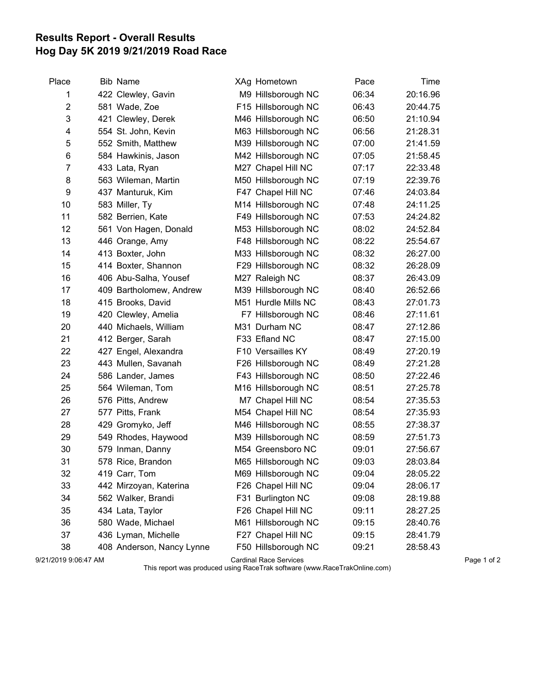## Results Report - Overall Results Hog Day 5K 2019 9/21/2019 Road Race

| Place | <b>Bib Name</b>           | XAg Hometown        | Pace  | Time     |
|-------|---------------------------|---------------------|-------|----------|
| 1     | 422 Clewley, Gavin        | M9 Hillsborough NC  | 06:34 | 20:16.96 |
| 2     | 581 Wade, Zoe             | F15 Hillsborough NC | 06:43 | 20:44.75 |
| 3     | 421 Clewley, Derek        | M46 Hillsborough NC | 06:50 | 21:10.94 |
| 4     | 554 St. John, Kevin       | M63 Hillsborough NC | 06:56 | 21:28.31 |
| 5     | 552 Smith, Matthew        | M39 Hillsborough NC | 07:00 | 21:41.59 |
| 6     | 584 Hawkinis, Jason       | M42 Hillsborough NC | 07:05 | 21:58.45 |
| 7     | 433 Lata, Ryan            | M27 Chapel Hill NC  | 07:17 | 22:33.48 |
| 8     | 563 Wileman, Martin       | M50 Hillsborough NC | 07:19 | 22:39.76 |
| 9     | 437 Manturuk, Kim         | F47 Chapel Hill NC  | 07:46 | 24:03.84 |
| 10    | 583 Miller, Ty            | M14 Hillsborough NC | 07:48 | 24:11.25 |
| 11    | 582 Berrien, Kate         | F49 Hillsborough NC | 07:53 | 24:24.82 |
| 12    | 561 Von Hagen, Donald     | M53 Hillsborough NC | 08:02 | 24:52.84 |
| 13    | 446 Orange, Amy           | F48 Hillsborough NC | 08:22 | 25:54.67 |
| 14    | 413 Boxter, John          | M33 Hillsborough NC | 08:32 | 26:27.00 |
| 15    | 414 Boxter, Shannon       | F29 Hillsborough NC | 08:32 | 26:28.09 |
| 16    | 406 Abu-Salha, Yousef     | M27 Raleigh NC      | 08:37 | 26:43.09 |
| 17    | 409 Bartholomew, Andrew   | M39 Hillsborough NC | 08:40 | 26:52.66 |
| 18    | 415 Brooks, David         | M51 Hurdle Mills NC | 08:43 | 27:01.73 |
| 19    | 420 Clewley, Amelia       | F7 Hillsborough NC  | 08:46 | 27:11.61 |
| 20    | 440 Michaels, William     | M31 Durham NC       | 08:47 | 27:12.86 |
| 21    | 412 Berger, Sarah         | F33 Efland NC       | 08:47 | 27:15.00 |
| 22    | 427 Engel, Alexandra      | F10 Versailles KY   | 08:49 | 27:20.19 |
| 23    | 443 Mullen, Savanah       | F26 Hillsborough NC | 08:49 | 27:21.28 |
| 24    | 586 Lander, James         | F43 Hillsborough NC | 08:50 | 27:22.46 |
| 25    | 564 Wileman, Tom          | M16 Hillsborough NC | 08:51 | 27:25.78 |
| 26    | 576 Pitts, Andrew         | M7 Chapel Hill NC   | 08:54 | 27:35.53 |
| 27    | 577 Pitts, Frank          | M54 Chapel Hill NC  | 08:54 | 27:35.93 |
| 28    | 429 Gromyko, Jeff         | M46 Hillsborough NC | 08:55 | 27:38.37 |
| 29    | 549 Rhodes, Haywood       | M39 Hillsborough NC | 08:59 | 27:51.73 |
| 30    | 579 Inman, Danny          | M54 Greensboro NC   | 09:01 | 27:56.67 |
| 31    | 578 Rice, Brandon         | M65 Hillsborough NC | 09:03 | 28:03.84 |
| 32    | 419 Carr, Tom             | M69 Hillsborough NC | 09:04 | 28:05.22 |
| 33    | 442 Mirzoyan, Katerina    | F26 Chapel Hill NC  | 09:04 | 28:06.17 |
| 34    | 562 Walker, Brandi        | F31 Burlington NC   | 09:08 | 28:19.88 |
| 35    | 434 Lata, Taylor          | F26 Chapel Hill NC  | 09:11 | 28:27.25 |
| 36    | 580 Wade, Michael         | M61 Hillsborough NC | 09:15 | 28:40.76 |
| 37    | 436 Lyman, Michelle       | F27 Chapel Hill NC  | 09:15 | 28:41.79 |
| 38    | 408 Anderson, Nancy Lynne | F50 Hillsborough NC | 09:21 | 28:58.43 |

9/21/2019 9:06:47 AM Cardinal Race Services Page 1 of 2

This report was produced using RaceTrak software (www.RaceTrakOnline.com)